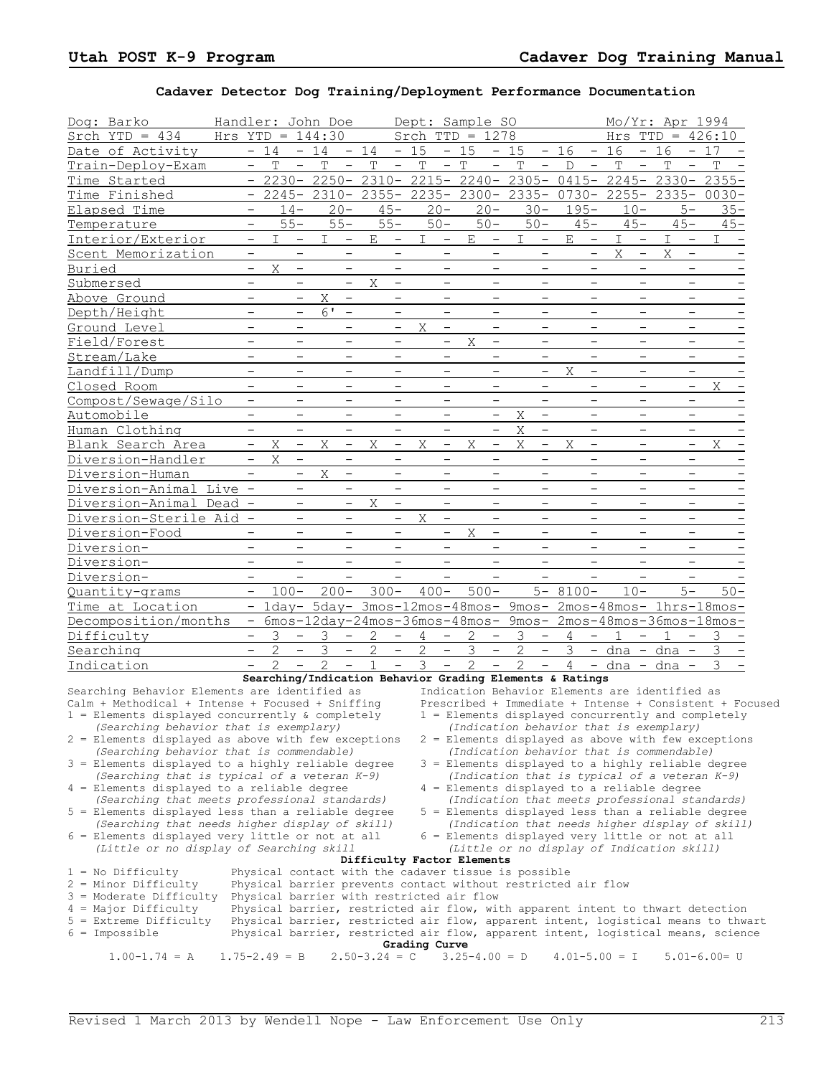## **Cadaver Detector Dog Training/Deployment Performance Documentation**

| Dog: Barko                                                                                            | Handler: John Doe               |                               |                          |                |                          |                                                                                                            |                |                          | Dept: Sample SO   |                          |                                                                                                      |                |                          |                   |                          | Mo/Yr: Apr 1994         |                          |                   |        |  |
|-------------------------------------------------------------------------------------------------------|---------------------------------|-------------------------------|--------------------------|----------------|--------------------------|------------------------------------------------------------------------------------------------------------|----------------|--------------------------|-------------------|--------------------------|------------------------------------------------------------------------------------------------------|----------------|--------------------------|-------------------|--------------------------|-------------------------|--------------------------|-------------------|--------|--|
| Srch $YTD = 434$                                                                                      | Hrs $YTD = 144:30$              |                               |                          |                |                          |                                                                                                            |                |                          | Srch $TTD = 1278$ |                          |                                                                                                      |                |                          |                   |                          | Hrs $TTD = 426:10$      |                          |                   |        |  |
| Date of Activity                                                                                      |                                 | $-14$                         |                          | $-14$          |                          | $-14$                                                                                                      | $-15$          |                          | $-15$             |                          | $-15$                                                                                                | $-16$          |                          | $-16$             |                          | $-16$                   |                          | $-17$             |        |  |
| Train-Deploy-Exam                                                                                     |                                 | T<br>-                        | $\overline{\phantom{a}}$ | T              | $\overline{\phantom{a}}$ | T<br>$\qquad \qquad -$                                                                                     | T              | $\overline{\phantom{a}}$ | $\mathbb{T}$      | $\qquad \qquad -$        | $\mathbf T$<br>$\overline{\phantom{a}}$                                                              | D              | $\qquad \qquad -$        | T                 | $\overline{\phantom{a}}$ | T                       | $\qquad \qquad -$        | T                 |        |  |
| Time Started                                                                                          |                                 |                               |                          |                |                          | $-$ 2230- 2250- 2310- 2215- 2240- 2305-                                                                    |                |                          |                   |                          |                                                                                                      |                |                          |                   |                          | 0415- 2245- 2330- 2355- |                          |                   |        |  |
| Time Finished                                                                                         |                                 |                               | 2245-                    | $2310 -$       |                          | $2355 -$                                                                                                   |                |                          | $2235 - 2300 -$   |                          | $2335 -$                                                                                             | $0730 -$       |                          | $2255 -$          |                          | $2335 - 0030 -$         |                          |                   |        |  |
| Elapsed Time                                                                                          |                                 |                               | $14 -$                   | $20 -$         |                          | $45 -$                                                                                                     |                | $20 -$                   | $20 -$            |                          | $30 -$                                                                                               |                | $195 -$                  |                   | $10 -$                   |                         | $5-$                     |                   | $35 -$ |  |
| Temperature                                                                                           |                                 | $\overline{\phantom{0}}$      | $55 -$                   | $55 -$         |                          | $55 -$                                                                                                     |                | $50 -$                   | $50 -$            |                          | $50 -$                                                                                               |                | $45 -$                   |                   | $45 -$                   |                         | $45 -$                   |                   | $45 -$ |  |
| Interior/Exterior                                                                                     |                                 | I.<br>$\qquad \qquad -$       | $\qquad \qquad -$        | I              | $\overline{\phantom{a}}$ | E<br>$\qquad \qquad -$                                                                                     | $\mathbb{I}$   | $\overline{\phantom{m}}$ | Е                 | $\overline{\phantom{a}}$ | I.<br>$\overline{\phantom{a}}$                                                                       | Ε              | $\overline{\phantom{m}}$ | I.                | $\overline{\phantom{a}}$ | I.                      | $\overline{\phantom{a}}$ | I.                |        |  |
| Scent Memorization                                                                                    |                                 | $\qquad \qquad -$             | $\overline{\phantom{0}}$ |                |                          |                                                                                                            |                | $\overline{\phantom{0}}$ |                   | $\qquad \qquad -$        | $\overline{\phantom{0}}$                                                                             |                | $\qquad \qquad -$        | X                 | $\overline{\phantom{a}}$ | X                       | $\qquad \qquad -$        |                   |        |  |
| Buried                                                                                                | $\overline{\phantom{0}}$        | X                             | $\overline{\phantom{m}}$ |                |                          |                                                                                                            |                | $\overline{\phantom{0}}$ |                   | $\overline{\phantom{0}}$ |                                                                                                      |                |                          |                   | $\qquad \qquad -$        |                         | $\qquad \qquad -$        |                   |        |  |
| Submersed                                                                                             |                                 | $\equiv$                      | $\equiv$                 |                | $\overline{\phantom{0}}$ | X<br>$\overline{\phantom{0}}$                                                                              |                | $\overline{\phantom{0}}$ |                   | $\equiv$                 | $\overline{\phantom{0}}$                                                                             |                | $\equiv$                 |                   | $\equiv$                 |                         | $\overline{\phantom{0}}$ |                   |        |  |
| Above Ground                                                                                          |                                 | $\overline{\phantom{0}}$      | $\overline{\phantom{a}}$ | $\mathbf X$    | $\overline{\phantom{a}}$ | $\overline{\phantom{a}}$                                                                                   |                | $\overline{\phantom{0}}$ |                   | $\qquad \qquad -$        | $\qquad \qquad -$                                                                                    |                | $\qquad \qquad -$        |                   | $\overline{\phantom{a}}$ |                         | $\qquad \qquad -$        |                   |        |  |
| Depth/Height                                                                                          | $\overline{\phantom{m}}$        |                               | $\overline{\phantom{a}}$ | 6'             | $\overline{\phantom{m}}$ | $\overline{\phantom{m}}$                                                                                   |                | $\overline{\phantom{m}}$ |                   | $\overline{\phantom{0}}$ | $\overline{\phantom{m}}$                                                                             |                | $\overline{\phantom{m}}$ |                   | $\overline{\phantom{a}}$ |                         | $\overline{\phantom{m}}$ |                   |        |  |
| Ground Level                                                                                          |                                 |                               |                          |                |                          | $\overline{\phantom{0}}$                                                                                   | X              | $\overline{\phantom{m}}$ |                   |                          |                                                                                                      |                | $\overline{\phantom{0}}$ |                   |                          |                         | $\overline{\phantom{0}}$ |                   |        |  |
| Field/Forest                                                                                          | $\overline{\phantom{0}}$        |                               | $\qquad \qquad -$        |                |                          | $\overline{\phantom{0}}$                                                                                   |                | $\overline{\phantom{m}}$ | Χ                 | $\qquad \qquad -$        | $\overline{\phantom{0}}$                                                                             |                | $\qquad \qquad -$        |                   | $\overline{\phantom{0}}$ |                         | $\overline{\phantom{0}}$ |                   |        |  |
| Stream/Lake                                                                                           | $\overline{\phantom{0}}$        |                               | $\overline{\phantom{0}}$ |                |                          |                                                                                                            |                |                          |                   | $\overline{\phantom{0}}$ |                                                                                                      |                | $\overline{\phantom{0}}$ |                   | $\overline{\phantom{0}}$ |                         | $\overline{\phantom{0}}$ |                   |        |  |
| Landfill/Dump                                                                                         | $\qquad \qquad -$               |                               | $\overline{\phantom{m}}$ |                | $\overline{\phantom{m}}$ | $\qquad \qquad -$                                                                                          |                | $\qquad \qquad -$        |                   | $\overline{\phantom{0}}$ | $\qquad \qquad -$                                                                                    | Χ              | $\overline{\phantom{m}}$ |                   | $\overline{\phantom{m}}$ |                         | $\qquad \qquad -$        |                   |        |  |
| Closed Room                                                                                           |                                 | $\overline{\phantom{0}}$      | $\overline{\phantom{0}}$ |                | $\overline{\phantom{0}}$ |                                                                                                            |                | $\overline{\phantom{0}}$ |                   |                          | $\qquad \qquad$                                                                                      |                | $\overline{\phantom{a}}$ |                   | $\overline{\phantom{a}}$ |                         | $\qquad \qquad -$        | Χ                 |        |  |
| Compost/Sewage/Silo                                                                                   |                                 |                               |                          |                |                          |                                                                                                            |                |                          |                   |                          |                                                                                                      |                |                          |                   |                          |                         |                          |                   |        |  |
|                                                                                                       |                                 |                               | $\overline{\phantom{0}}$ |                |                          |                                                                                                            |                | $\overline{\phantom{0}}$ |                   | $\qquad \qquad -$        | $\qquad \qquad -$                                                                                    |                | $\qquad \qquad -$        |                   | $\overline{\phantom{0}}$ |                         | $\overline{\phantom{0}}$ |                   |        |  |
| Automobile                                                                                            |                                 |                               | $\overline{\phantom{0}}$ |                |                          |                                                                                                            |                |                          |                   | $\overline{\phantom{0}}$ | Χ<br>$\mathbf X$<br>$\qquad \qquad -$                                                                |                | $\overline{\phantom{0}}$ |                   | $\overline{\phantom{0}}$ |                         | $\overline{\phantom{0}}$ |                   |        |  |
| Human Clothing                                                                                        |                                 |                               |                          |                |                          |                                                                                                            |                |                          |                   |                          |                                                                                                      |                |                          |                   |                          |                         |                          |                   |        |  |
| Blank Search Area                                                                                     |                                 | X<br>$\overline{\phantom{0}}$ | $\overline{\phantom{a}}$ | X              | $\overline{\phantom{a}}$ | Χ<br>$\qquad \qquad -$                                                                                     | Χ              | $\qquad \qquad -$        | Χ                 | $\qquad \qquad -$        | X<br>$\overline{\phantom{a}}$                                                                        | X              | $\qquad \qquad -$        |                   | $\overline{\phantom{m}}$ |                         | $\qquad \qquad -$        | X                 |        |  |
| Diversion-Handler                                                                                     |                                 | X<br>$\qquad \qquad -$        | $\overline{\phantom{a}}$ |                | $\overline{\phantom{m}}$ | $\overline{\phantom{m}}$                                                                                   |                | $\overline{\phantom{m}}$ |                   | $\qquad \qquad -$        | $\overline{\phantom{m}}$                                                                             |                | $\overline{\phantom{m}}$ |                   | $\overline{\phantom{m}}$ |                         | $\overline{\phantom{m}}$ |                   |        |  |
| Diversion-Human                                                                                       |                                 | $\overline{\phantom{0}}$      | $\overline{\phantom{0}}$ | X              | $\overline{\phantom{0}}$ | $\overline{\phantom{0}}$                                                                                   |                |                          |                   |                          |                                                                                                      |                | $\overline{\phantom{0}}$ |                   | $\overline{\phantom{0}}$ |                         |                          |                   |        |  |
| Diversion-Animal Live                                                                                 | $\overline{\phantom{0}}$        |                               |                          |                |                          | $\overline{\phantom{0}}$                                                                                   |                | $\overline{\phantom{0}}$ |                   | $\qquad \qquad -$        | $\qquad \qquad -$                                                                                    |                | $\qquad \qquad -$        |                   | $\qquad \qquad -$        |                         | $\qquad \qquad -$        |                   |        |  |
| Diversion-Animal Dead                                                                                 |                                 |                               |                          |                | $\overline{\phantom{m}}$ | X<br>$\overline{\phantom{0}}$                                                                              |                | $\overline{\phantom{0}}$ |                   |                          |                                                                                                      |                | $\overline{\phantom{0}}$ |                   | $\overline{\phantom{0}}$ |                         | $\overline{\phantom{0}}$ |                   |        |  |
| Diversion-Sterile Aid                                                                                 | $\hspace{0.1mm}-\hspace{0.1mm}$ |                               | $\qquad \qquad -$        |                | $\overline{\phantom{m}}$ | $\overline{\phantom{0}}$                                                                                   | Χ              | $\overline{\phantom{a}}$ |                   | $\qquad \qquad -$        | $\overline{\phantom{0}}$                                                                             |                | $\overline{\phantom{0}}$ |                   | $\overline{\phantom{m}}$ |                         | $\qquad \qquad -$        |                   |        |  |
| Diversion-Food                                                                                        |                                 | $\qquad \qquad -$             | $\overline{\phantom{m}}$ |                | $\overline{\phantom{m}}$ | $\overline{\phantom{m}}$                                                                                   |                | $\qquad \qquad -$        | Χ                 | $\overline{\phantom{m}}$ | $\overline{\phantom{m}}$                                                                             |                | $\overline{\phantom{m}}$ |                   | $\overline{\phantom{0}}$ |                         | $\overline{\phantom{m}}$ |                   |        |  |
| Diversion-                                                                                            |                                 | $\overline{\phantom{0}}$      |                          |                |                          |                                                                                                            |                |                          |                   |                          |                                                                                                      |                |                          |                   |                          |                         |                          |                   |        |  |
| Diversion-                                                                                            | $\qquad \qquad -$               |                               | $\overline{\phantom{m}}$ |                | $\overline{\phantom{m}}$ | $\overline{\phantom{0}}$                                                                                   |                | $\overline{\phantom{m}}$ |                   | $\overline{\phantom{0}}$ | $\overline{\phantom{0}}$                                                                             |                | $\overline{\phantom{m}}$ |                   | $\overline{\phantom{a}}$ |                         | $\overline{\phantom{m}}$ |                   |        |  |
| Diversion-                                                                                            |                                 |                               |                          |                |                          |                                                                                                            |                |                          |                   |                          |                                                                                                      |                |                          |                   |                          |                         |                          |                   |        |  |
| Quantity-grams                                                                                        |                                 | $\overline{\phantom{0}}$      | $100 -$                  | $200 -$        |                          | $300 -$                                                                                                    | $400 -$        |                          | $500 -$           |                          |                                                                                                      | $5 - 8100 -$   |                          |                   | $10 -$                   |                         | $5-$                     |                   | $50 -$ |  |
| Time at Location                                                                                      |                                 |                               |                          |                |                          | - 1day- 5day- 3mos-12mos-48mos- 9mos- 2mos-48mos- 1hrs-18mos-                                              |                |                          |                   |                          |                                                                                                      |                |                          |                   |                          |                         |                          |                   |        |  |
| Decomposition/months                                                                                  |                                 |                               |                          |                |                          | - 6mos-12day-24mos-36mos-48mos- 9mos- 2mos-48mos-36mos-18mos-                                              |                |                          |                   |                          |                                                                                                      |                |                          |                   |                          |                         |                          |                   |        |  |
| Difficulty                                                                                            |                                 | 3                             | $\qquad \qquad -$        | 3              |                          | $\overline{\phantom{a}}$                                                                                   | 4              | $\overline{\phantom{a}}$ | 2                 | $\qquad \qquad -$        | 3<br>$\overline{\phantom{m}}$                                                                        | 4              | $-$                      |                   | $\qquad \qquad -$        |                         | $\overline{\phantom{a}}$ | 3                 |        |  |
| Searching                                                                                             |                                 | $\overline{c}$                | $\overline{\phantom{a}}$ | 3              | $\overline{\phantom{0}}$ | $\overline{2}$                                                                                             | $\overline{c}$ | $\overline{\phantom{0}}$ | 3                 | $\overline{\phantom{0}}$ | $\overline{2}$<br>$\overline{\phantom{0}}$                                                           | 3              |                          |                   |                          | $-$ dna $-$ dna $-$     |                          | 3                 |        |  |
| Indication                                                                                            |                                 | $\mathfrak{D}$                | $\overline{\phantom{0}}$ | $\mathfrak{D}$ | $\overline{\phantom{0}}$ | 1<br>$\overline{\phantom{0}}$                                                                              | 3              | $\overline{\phantom{0}}$ | $\overline{2}$    | $\overline{\phantom{0}}$ | $\overline{2}$<br>$\qquad \qquad -$                                                                  | $\overline{4}$ |                          |                   |                          | $-$ dna $-$ dna $-$     |                          |                   |        |  |
|                                                                                                       |                                 |                               |                          |                |                          | Searching/Indication Behavior Grading Elements & Ratings                                                   |                |                          |                   |                          |                                                                                                      |                |                          |                   |                          |                         |                          |                   |        |  |
| Searching Behavior Elements are identified as                                                         |                                 |                               |                          |                |                          |                                                                                                            |                |                          |                   |                          | Indication Behavior Elements are identified as                                                       |                |                          |                   |                          |                         |                          |                   |        |  |
| Calm + Methodical + Intense + Focused + Sniffing                                                      |                                 |                               |                          |                |                          |                                                                                                            |                |                          |                   |                          | Prescribed + Immediate + Intense + Consistent + Focused                                              |                |                          |                   |                          |                         |                          |                   |        |  |
| $1$ = Elements displayed concurrently & completely                                                    |                                 |                               |                          |                |                          |                                                                                                            |                |                          |                   |                          | 1 = Elements displayed concurrently and completely<br>(Indication behavior that is exemplary)        |                |                          |                   |                          |                         |                          |                   |        |  |
| (Searching behavior that is exemplary)<br>2 = Elements displayed as above with few exceptions         |                                 |                               |                          |                |                          |                                                                                                            |                |                          |                   |                          | $2$ = Elements displayed as above with few exceptions                                                |                |                          |                   |                          |                         |                          |                   |        |  |
| (Searching behavior that is commendable)                                                              |                                 |                               |                          |                |                          |                                                                                                            |                |                          |                   |                          | (Indication behavior that is commendable)                                                            |                |                          |                   |                          |                         |                          |                   |        |  |
| $3$ = Elements displayed to a highly reliable degree                                                  |                                 |                               |                          |                |                          |                                                                                                            |                |                          |                   |                          | 3 = Elements displayed to a highly reliable degree                                                   |                |                          |                   |                          |                         |                          |                   |        |  |
| (Searching that is typical of a veteran $K-9$ )                                                       |                                 |                               |                          |                |                          |                                                                                                            |                |                          |                   |                          | (Indication that is typical of a veteran K-9)                                                        |                |                          |                   |                          |                         |                          |                   |        |  |
| 4 = Elements displayed to a reliable degree                                                           |                                 |                               |                          |                |                          |                                                                                                            |                |                          |                   |                          | 4 = Elements displayed to a reliable degree                                                          |                |                          |                   |                          |                         |                          |                   |        |  |
| (Searching that meets professional standards)<br>$5$ = Elements displayed less than a reliable degree |                                 |                               |                          |                |                          |                                                                                                            |                |                          |                   |                          | (Indication that meets professional standards)<br>5 = Elements displayed less than a reliable degree |                |                          |                   |                          |                         |                          |                   |        |  |
| (Searching that needs higher display of skill)                                                        |                                 |                               |                          |                |                          |                                                                                                            |                |                          |                   |                          | (Indication that needs higher display of skill)                                                      |                |                          |                   |                          |                         |                          |                   |        |  |
| 6 = Elements displayed very little or not at all                                                      |                                 |                               |                          |                |                          |                                                                                                            |                |                          |                   |                          | 6 = Elements displayed very little or not at all                                                     |                |                          |                   |                          |                         |                          |                   |        |  |
| (Little or no display of Searching skill                                                              |                                 |                               |                          |                |                          |                                                                                                            |                |                          |                   |                          | (Little or no display of Indication skill)                                                           |                |                          |                   |                          |                         |                          |                   |        |  |
|                                                                                                       |                                 |                               |                          |                |                          | Difficulty Factor Elements                                                                                 |                |                          |                   |                          |                                                                                                      |                |                          |                   |                          |                         |                          |                   |        |  |
| $1 = No$ Difficulty                                                                                   |                                 |                               |                          |                |                          | Physical contact with the cadaver tissue is possible                                                       |                |                          |                   |                          |                                                                                                      |                |                          |                   |                          |                         |                          |                   |        |  |
| $2$ = Minor Difficulty<br>$3 =$ Moderate Difficulty                                                   |                                 |                               |                          |                |                          | Physical barrier prevents contact without restricted air flow<br>Physical barrier with restricted air flow |                |                          |                   |                          |                                                                                                      |                |                          |                   |                          |                         |                          |                   |        |  |
| $4 =$ Major Difficulty                                                                                |                                 |                               |                          |                |                          | Physical barrier, restricted air flow, with apparent intent to thwart detection                            |                |                          |                   |                          |                                                                                                      |                |                          |                   |                          |                         |                          |                   |        |  |
| 5 = Extreme Difficulty                                                                                |                                 |                               |                          |                |                          | Physical barrier, restricted air flow, apparent intent, logistical means to thwart                         |                |                          |                   |                          |                                                                                                      |                |                          |                   |                          |                         |                          |                   |        |  |
| $6 =$ Impossible                                                                                      |                                 |                               |                          |                |                          | Physical barrier, restricted air flow, apparent intent, logistical means, science                          |                |                          |                   |                          |                                                                                                      |                |                          |                   |                          |                         |                          |                   |        |  |
| Grading Curve                                                                                         |                                 |                               |                          |                |                          |                                                                                                            |                |                          |                   |                          |                                                                                                      |                |                          |                   |                          |                         |                          |                   |        |  |
| $1.00 - 1.74 = A$                                                                                     | $1.75 - 2.49 = B$               |                               |                          |                |                          | $2.50 - 3.24 = C$                                                                                          |                |                          | $3.25 - 4.00 = D$ |                          |                                                                                                      |                |                          | $4.01 - 5.00 = I$ |                          |                         |                          | $5.01 - 6.00 = U$ |        |  |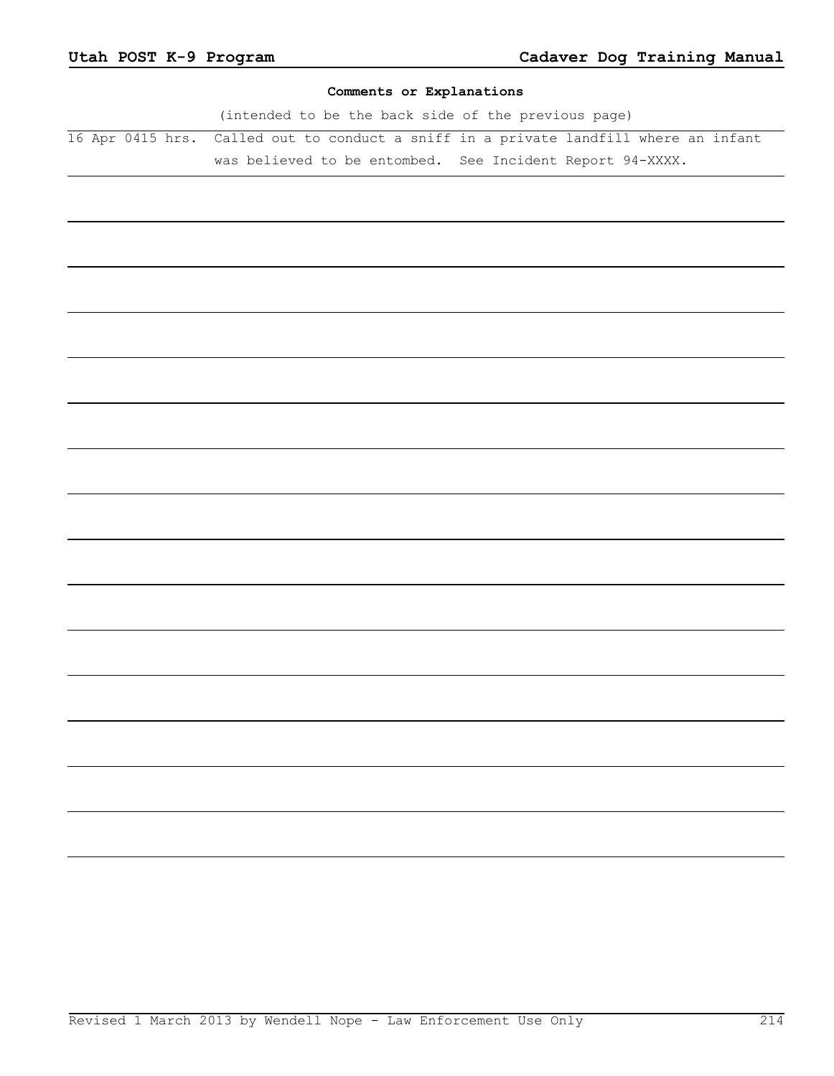## **Comments or Explanations**

(intended to be the back side of the previous page) 16 Apr 0415 hrs. Called out to conduct a sniff in a private landfill where an infant was believed to be entombed. See Incident Report 94-XXXX.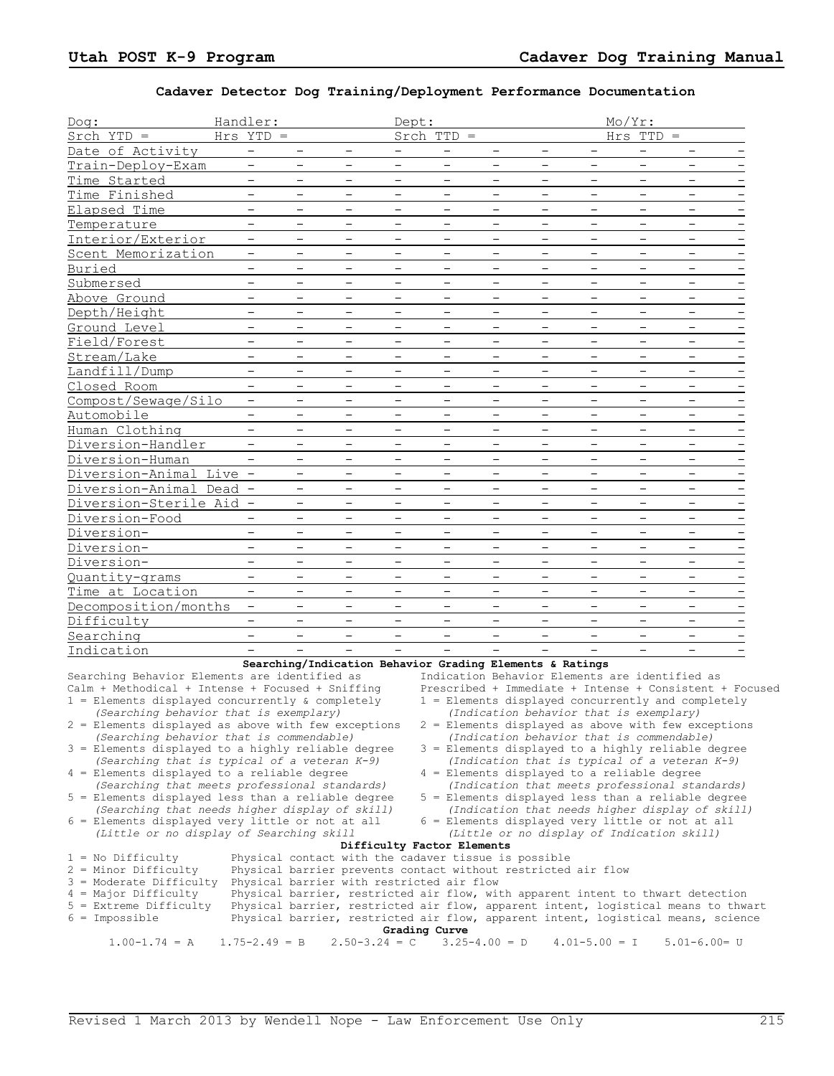## **Cadaver Detector Dog Training/Deployment Performance Documentation**

| Dog:                                                                                                                                                  | Handler:                        |                          |                          | Dept:                    |                                           |                          |                                                                                                                       |                          | Mo/Yr:                   |                                                                                                                                                                       |                                                         |
|-------------------------------------------------------------------------------------------------------------------------------------------------------|---------------------------------|--------------------------|--------------------------|--------------------------|-------------------------------------------|--------------------------|-----------------------------------------------------------------------------------------------------------------------|--------------------------|--------------------------|-----------------------------------------------------------------------------------------------------------------------------------------------------------------------|---------------------------------------------------------|
| $Stch YTD =$                                                                                                                                          | $Hrs$ $YTD =$                   |                          |                          |                          | $Srch$ TTD =                              |                          |                                                                                                                       |                          | $Hrs$ TTD =              |                                                                                                                                                                       |                                                         |
| Date of Activity                                                                                                                                      | $-$                             | $\overline{\phantom{m}}$ | $\qquad \qquad -$        | $-$                      | $\qquad \qquad -$                         | $\qquad \qquad -$        | $\qquad \qquad -$                                                                                                     | $\qquad \qquad -$        | $\overline{\phantom{a}}$ | $\overline{\phantom{0}}$                                                                                                                                              |                                                         |
| Train-Deploy-Exam                                                                                                                                     | -                               | $\overline{\phantom{m}}$ | $\overline{\phantom{m}}$ | -                        | $\overline{\phantom{0}}$                  | -                        | $\qquad \qquad -$                                                                                                     | -                        | $\qquad \qquad -$        | $\qquad \qquad -$                                                                                                                                                     |                                                         |
| Time Started                                                                                                                                          | —                               | $\overline{\phantom{m}}$ | $\overline{\phantom{0}}$ | $\overline{\phantom{0}}$ | $\overline{\phantom{0}}$                  | $\qquad \qquad -$        | $\overline{\phantom{0}}$                                                                                              | $\overline{\phantom{0}}$ | $\overline{\phantom{m}}$ | $\overline{\phantom{0}}$                                                                                                                                              |                                                         |
| Time Finished                                                                                                                                         |                                 | $\overline{\phantom{m}}$ |                          | $\overline{\phantom{m}}$ | $\overline{\phantom{0}}$                  | $\overline{\phantom{0}}$ | $\overline{\phantom{0}}$                                                                                              |                          | $\overline{\phantom{m}}$ | $\overline{\phantom{0}}$                                                                                                                                              | $\overline{\phantom{m}}$                                |
| Elapsed Time                                                                                                                                          | $\equiv$                        | $\overline{\phantom{0}}$ | $\overline{\phantom{0}}$ | $\overline{\phantom{0}}$ | $\equiv$                                  | $\overline{\phantom{0}}$ | $\overline{\phantom{0}}$                                                                                              | $\equiv$                 | $\overline{\phantom{0}}$ | $\equiv$                                                                                                                                                              | $\qquad \qquad -$                                       |
| Temperature                                                                                                                                           | $\qquad \qquad -$               | $\overline{\phantom{m}}$ | $\qquad \qquad -$        | $\qquad \qquad -$        | $\qquad \qquad -$                         | $\qquad \qquad -$        | $\qquad \qquad -$                                                                                                     | $\overline{\phantom{a}}$ | $\overline{\phantom{m}}$ | $\overline{\phantom{a}}$                                                                                                                                              | $\overline{\phantom{a}}$                                |
| Interior/Exterior                                                                                                                                     | -                               | $\qquad \qquad -$        | $\qquad \qquad -$        | -                        |                                           | -                        |                                                                                                                       | -                        | $\qquad \qquad -$        | $\overline{\phantom{0}}$                                                                                                                                              |                                                         |
| Scent Memorization                                                                                                                                    | $\qquad \qquad -$               | $\overline{\phantom{0}}$ |                          | $\overline{\phantom{0}}$ | —                                         | $\overline{\phantom{0}}$ | $\overline{\phantom{0}}$                                                                                              | —                        | $\overline{\phantom{0}}$ | $\overline{\phantom{0}}$                                                                                                                                              | $\overline{\phantom{m}}$                                |
| Buried                                                                                                                                                |                                 | $\overline{\phantom{m}}$ |                          | $\overline{\phantom{0}}$ | $\overline{\phantom{0}}$                  | $\overline{\phantom{0}}$ |                                                                                                                       | $\overline{\phantom{0}}$ | $\overline{\phantom{m}}$ | $\overline{\phantom{0}}$                                                                                                                                              | $\overline{\phantom{m}}$                                |
| Submersed                                                                                                                                             | $\equiv$                        | $\overline{\phantom{m}}$ | $\overline{\phantom{0}}$ | $-$                      | $\overline{\phantom{0}}$                  | $\overline{\phantom{0}}$ | $\overline{\phantom{0}}$                                                                                              | $\overline{\phantom{0}}$ | $\overline{\phantom{0}}$ | $\overline{\phantom{0}}$                                                                                                                                              | $\qquad \qquad -$                                       |
| Above Ground                                                                                                                                          | $\qquad \qquad -$               | $\overline{\phantom{m}}$ | $\qquad \qquad -$        | $\qquad \qquad -$        | $\qquad \qquad -$                         | $\qquad \qquad -$        | $\qquad \qquad -$                                                                                                     | $\qquad \qquad -$        | $\overline{\phantom{m}}$ | $\qquad \qquad -$                                                                                                                                                     | $\overline{\phantom{m}}$                                |
| Depth/Height                                                                                                                                          | -                               | $\qquad \qquad -$        | $\qquad \qquad -$        | -                        | $\overline{\phantom{0}}$                  | -                        |                                                                                                                       | -                        | $\qquad \qquad -$        | $\qquad \qquad -$                                                                                                                                                     | $\overline{a}$                                          |
| Ground Level                                                                                                                                          | $\overline{\phantom{0}}$        | $\overline{\phantom{m}}$ |                          | $\overline{\phantom{0}}$ | $\overline{\phantom{0}}$                  | $\qquad \qquad -$        |                                                                                                                       | $\overline{\phantom{0}}$ | $\overline{\phantom{m}}$ | $\overline{\phantom{0}}$                                                                                                                                              |                                                         |
| Field/Forest                                                                                                                                          |                                 | $\overline{\phantom{m}}$ |                          | $\overline{\phantom{m}}$ | $\overline{\phantom{0}}$                  | $\overline{\phantom{m}}$ |                                                                                                                       |                          | $\overline{\phantom{m}}$ | $\qquad \qquad -$                                                                                                                                                     | $\overline{\phantom{m}}$                                |
| Stream/Lake                                                                                                                                           | $\equiv$                        | $\overline{\phantom{0}}$ | $\overline{\phantom{0}}$ | $\overline{\phantom{0}}$ | $\equiv$                                  | $\qquad \qquad -$        | $\overline{\phantom{0}}$                                                                                              | $\equiv$                 | $\overline{\phantom{0}}$ | $\overline{\phantom{0}}$                                                                                                                                              | $\qquad \qquad -$                                       |
| Landfill/Dump                                                                                                                                         | $\qquad \qquad -$               | $\overline{\phantom{m}}$ | $\qquad \qquad -$        | $\qquad \qquad -$        | $\qquad \qquad -$                         | $\qquad \qquad -$        | $\qquad \qquad -$                                                                                                     | $\overline{\phantom{a}}$ | $\overline{\phantom{m}}$ | $\overline{\phantom{a}}$                                                                                                                                              | $\overline{\phantom{a}}$                                |
| Closed Room                                                                                                                                           | -                               | $\qquad \qquad -$        | $\qquad \qquad -$        | -                        | $\qquad \qquad$                           | -                        |                                                                                                                       | -                        | $\qquad \qquad -$        | $\overline{\phantom{0}}$                                                                                                                                              |                                                         |
| Compost/Sewage/Silo                                                                                                                                   | $\overline{\phantom{0}}$        | $\qquad \qquad -$        |                          | $\overline{\phantom{0}}$ | $\overline{\phantom{0}}$                  | $\overline{\phantom{0}}$ | $\overline{\phantom{0}}$                                                                                              | $\overline{\phantom{0}}$ | $\qquad \qquad -$        | $\overline{\phantom{0}}$                                                                                                                                              | $\overline{\phantom{m}}$                                |
| Automobile                                                                                                                                            |                                 | $\overline{\phantom{m}}$ |                          | $\overline{\phantom{0}}$ | $\overline{\phantom{0}}$                  | $\overline{\phantom{0}}$ | $\overline{\phantom{0}}$                                                                                              | $\overline{\phantom{0}}$ | $\overline{\phantom{m}}$ | $\overline{\phantom{0}}$                                                                                                                                              | $\overline{\phantom{m}}$                                |
| Human Clothing                                                                                                                                        | $\equiv$                        | $\overline{\phantom{0}}$ | $\overline{\phantom{0}}$ | $-$                      | $\overline{\phantom{0}}$                  | $\qquad \qquad -$        | $\overline{\phantom{0}}$                                                                                              | $\equiv$                 | $\overline{\phantom{a}}$ | $\overline{\phantom{0}}$                                                                                                                                              | $\qquad \qquad -$                                       |
| Diversion-Handler                                                                                                                                     | $\qquad \qquad -$               | $\overline{\phantom{m}}$ | $\qquad \qquad -$        | $\qquad \qquad -$        | $\qquad \qquad -$                         | $\qquad \qquad -$        | $\qquad \qquad -$                                                                                                     | $\qquad \qquad -$        | $\overline{\phantom{m}}$ | $\overline{\phantom{a}}$                                                                                                                                              | $\overline{\phantom{a}}$                                |
| Diversion-Human                                                                                                                                       | $\qquad \qquad -$               | $\qquad \qquad -$        | $\qquad \qquad -$        | -                        | $\overline{\phantom{0}}$                  | -                        |                                                                                                                       | -                        | $\qquad \qquad -$        | $\qquad \qquad -$                                                                                                                                                     | $\overline{a}$                                          |
| Diversion-Animal Live                                                                                                                                 | $\qquad \qquad -$               | $\overline{\phantom{m}}$ |                          | $\overline{\phantom{0}}$ | $\overline{\phantom{0}}$                  | $\qquad \qquad -$        | $\overline{\phantom{0}}$                                                                                              | $\overline{\phantom{0}}$ | $\overline{\phantom{m}}$ | $\qquad \qquad -$                                                                                                                                                     |                                                         |
| Diversion-Animal Dead                                                                                                                                 |                                 | $\qquad \qquad -$        |                          | $\overline{\phantom{m}}$ | $\overline{\phantom{0}}$                  | $\overline{\phantom{m}}$ |                                                                                                                       |                          | $\overline{\phantom{m}}$ | $\qquad \qquad -$                                                                                                                                                     | $\overline{\phantom{m}}$                                |
| Diversion-Sterile Aid                                                                                                                                 | $\hspace{0.1mm}-\hspace{0.1mm}$ | $\equiv$                 | $\equiv$                 | $\overline{\phantom{0}}$ | $\equiv$                                  | $\qquad \qquad -$        | $\overline{\phantom{0}}$                                                                                              | $\equiv$                 | $\overline{\phantom{0}}$ | $\equiv$                                                                                                                                                              | $\qquad \qquad -$                                       |
| Diversion-Food                                                                                                                                        | $\qquad \qquad -$               | $\overline{\phantom{m}}$ | $\qquad \qquad -$        | $\qquad \qquad -$        | $\qquad \qquad -$                         | $\qquad \qquad -$        | $\qquad \qquad -$                                                                                                     | $\overline{\phantom{a}}$ | $\overline{\phantom{m}}$ | $\overline{\phantom{a}}$                                                                                                                                              | $\overline{\phantom{a}}$                                |
| Diversion-                                                                                                                                            | $\qquad \qquad -$               | $\qquad \qquad -$        | $\qquad \qquad -$        | -                        | $\qquad \qquad$                           | -                        |                                                                                                                       | -                        | $\qquad \qquad -$        | $\overline{\phantom{0}}$                                                                                                                                              |                                                         |
| Diversion-                                                                                                                                            | —                               | $\overline{\phantom{0}}$ |                          | $\overline{\phantom{0}}$ | $\overline{\phantom{0}}$                  | $\overline{\phantom{0}}$ | $\overline{\phantom{0}}$                                                                                              | $\overline{\phantom{0}}$ | $\qquad \qquad -$        | $\overline{\phantom{0}}$                                                                                                                                              | $\overline{\phantom{m}}$                                |
| Diversion-                                                                                                                                            |                                 | $\overline{\phantom{m}}$ | $\overline{\phantom{0}}$ | $\overline{\phantom{0}}$ | $\overline{\phantom{0}}$                  | $\overline{\phantom{0}}$ | $\overline{\phantom{0}}$                                                                                              | $\overline{\phantom{0}}$ | $\overline{\phantom{m}}$ | $\overline{\phantom{0}}$                                                                                                                                              |                                                         |
| Quantity-grams                                                                                                                                        | $\equiv$                        | $\overline{\phantom{a}}$ | $\equiv$                 | $\overline{\phantom{0}}$ | $\overline{\phantom{0}}$                  | $\qquad \qquad -$        | $\overline{\phantom{0}}$                                                                                              | $\equiv$                 | $\overline{\phantom{a}}$ | $\overline{\phantom{0}}$                                                                                                                                              | $\qquad \qquad -$                                       |
| Time at Location                                                                                                                                      | $\qquad \qquad -$               | $\overline{\phantom{m}}$ | $\qquad \qquad -$        | $\qquad \qquad -$        | $\qquad \qquad -$                         | $\qquad \qquad -$        | $\overline{\phantom{m}}$                                                                                              | $\qquad \qquad -$        | $\overline{\phantom{m}}$ | $\overline{\phantom{m}}$                                                                                                                                              | $\overline{\phantom{m}}$                                |
| Decomposition/months                                                                                                                                  | -                               | $\qquad \qquad -$        | $\qquad \qquad -$        | $\overline{\phantom{0}}$ | $\overline{\phantom{0}}$                  | -                        |                                                                                                                       | -                        | $\qquad \qquad -$        | $\qquad \qquad -$                                                                                                                                                     |                                                         |
| Difficulty                                                                                                                                            |                                 | $\overline{\phantom{m}}$ |                          | —                        | $\overline{\phantom{0}}$                  | $\overline{\phantom{0}}$ | $\overline{\phantom{0}}$                                                                                              | $\overline{\phantom{0}}$ | $\overline{\phantom{m}}$ | $\overline{\phantom{0}}$                                                                                                                                              |                                                         |
| Searching                                                                                                                                             |                                 | $\overline{\phantom{0}}$ | $\overline{\phantom{0}}$ | $\overline{\phantom{0}}$ | $\overline{\phantom{0}}$                  | $\overline{\phantom{0}}$ |                                                                                                                       | $\overline{\phantom{0}}$ | $\overline{\phantom{0}}$ | $\overline{\phantom{0}}$                                                                                                                                              |                                                         |
| Indication                                                                                                                                            | $\equiv$                        | $\overline{a}$           | $\equiv$                 | $\equiv$                 | $\overline{\phantom{0}}$                  | $\equiv$                 | $\overline{\phantom{0}}$                                                                                              | $\equiv$                 | $\overline{\phantom{0}}$ | $\overline{\phantom{0}}$                                                                                                                                              |                                                         |
| Searching Behavior Elements are identified as<br>Calm + Methodical + Intense + Focused + Sniffing                                                     |                                 |                          |                          |                          |                                           |                          | Searching/Indication Behavior Grading Elements & Ratings                                                              |                          |                          | Indication Behavior Elements are identified as                                                                                                                        | Prescribed + Immediate + Intense + Consistent + Focused |
| $1$ = Elements displayed concurrently & completely                                                                                                    |                                 |                          |                          |                          |                                           |                          |                                                                                                                       |                          |                          | 1 = Elements displayed concurrently and completely                                                                                                                    |                                                         |
| (Searching behavior that is exemplary)<br>2 = Elements displayed as above with few exceptions                                                         |                                 |                          |                          |                          |                                           |                          | (Indication behavior that is exemplary)                                                                               |                          |                          | $2$ = Elements displayed as above with few exceptions                                                                                                                 |                                                         |
| (Searching behavior that is commendable)                                                                                                              |                                 |                          |                          |                          |                                           |                          | (Indication behavior that is commendable)                                                                             |                          |                          |                                                                                                                                                                       |                                                         |
| 3 = Elements displayed to a highly reliable degree                                                                                                    |                                 |                          |                          |                          |                                           |                          |                                                                                                                       |                          |                          | 3 = Elements displayed to a highly reliable degree                                                                                                                    |                                                         |
| (Searching that is typical of a veteran K-9)<br>4 = Elements displayed to a reliable degree                                                           |                                 |                          |                          |                          |                                           |                          | 4 = Elements displayed to a reliable degree                                                                           |                          |                          | (Indication that is typical of a veteran $K-9$ )                                                                                                                      |                                                         |
| (Searching that meets professional standards)<br>5 = Elements displayed less than a reliable degree<br>(Searching that needs higher display of skill) |                                 |                          |                          |                          |                                           |                          |                                                                                                                       |                          |                          | (Indication that meets professional standards)<br>5 = Elements displayed less than a reliable degree                                                                  |                                                         |
| $6$ = Elements displayed very little or not at all<br>(Little or no display of Searching skill                                                        |                                 |                          |                          |                          |                                           |                          |                                                                                                                       |                          |                          | (Indication that needs higher display of skill)<br>6 = Elements displayed very little or not at all<br>(Little or no display of Indication skill)                     |                                                         |
|                                                                                                                                                       |                                 |                          |                          |                          | Difficulty Factor Elements                |                          |                                                                                                                       |                          |                          |                                                                                                                                                                       |                                                         |
| $1 = No$ Difficulty<br>$2$ = Minor Difficulty<br>$3$ = Moderate Difficulty<br>$4 =$ Major Difficulty<br>$5$ = Extreme Difficulty                      |                                 |                          |                          |                          | Physical barrier with restricted air flow |                          | Physical contact with the cadaver tissue is possible<br>Physical barrier prevents contact without restricted air flow |                          |                          | Physical barrier, restricted air flow, with apparent intent to thwart detection<br>Physical barrier, restricted air flow, apparent intent, logistical means to thwart |                                                         |
| $6 = \text{Impossible}$                                                                                                                               |                                 |                          |                          |                          | Grading Curve                             |                          |                                                                                                                       |                          |                          | Physical barrier, restricted air flow, apparent intent, logistical means, science                                                                                     |                                                         |
| $1.00-1.74 = A$                                                                                                                                       | $1.75 - 2.49 = B$               |                          |                          | $2.50 - 3.24 = C$        |                                           | $3.25 - 4.00 = D$        |                                                                                                                       | $4.01 - 5.00 = I$        |                          | $5.01 - 6.00 = U$                                                                                                                                                     |                                                         |